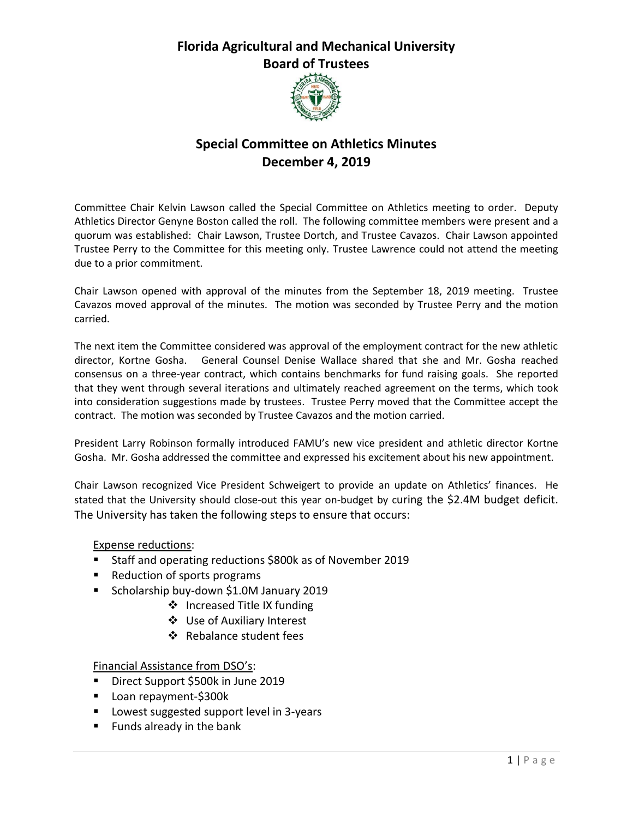## **Florida Agricultural and Mechanical University Board of Trustees**



## **Special Committee on Athletics Minutes December 4, 2019**

Committee Chair Kelvin Lawson called the Special Committee on Athletics meeting to order. Deputy Athletics Director Genyne Boston called the roll. The following committee members were present and a quorum was established: Chair Lawson, Trustee Dortch, and Trustee Cavazos. Chair Lawson appointed Trustee Perry to the Committee for this meeting only. Trustee Lawrence could not attend the meeting due to a prior commitment.

Chair Lawson opened with approval of the minutes from the September 18, 2019 meeting. Trustee Cavazos moved approval of the minutes. The motion was seconded by Trustee Perry and the motion carried.

The next item the Committee considered was approval of the employment contract for the new athletic director, Kortne Gosha. General Counsel Denise Wallace shared that she and Mr. Gosha reached consensus on a three-year contract, which contains benchmarks for fund raising goals. She reported that they went through several iterations and ultimately reached agreement on the terms, which took into consideration suggestions made by trustees. Trustee Perry moved that the Committee accept the contract. The motion was seconded by Trustee Cavazos and the motion carried.

President Larry Robinson formally introduced FAMU's new vice president and athletic director Kortne Gosha. Mr. Gosha addressed the committee and expressed his excitement about his new appointment.

Chair Lawson recognized Vice President Schweigert to provide an update on Athletics' finances. He stated that the University should close-out this year on-budget by curing the \$2.4M budget deficit. The University has taken the following steps to ensure that occurs:

Expense reductions:

- **Staff and operating reductions \$800k as of November 2019**
- Reduction of sports programs
- Scholarship buy-down \$1.0M January 2019
	- ❖ Increased Title IX funding
	- Use of Auxiliary Interest
	- ❖ Rebalance student fees

Financial Assistance from DSO's:

- Direct Support \$500k in June 2019
- Loan repayment-\$300k
- **Lowest suggested support level in 3-years**
- **Funds already in the bank**